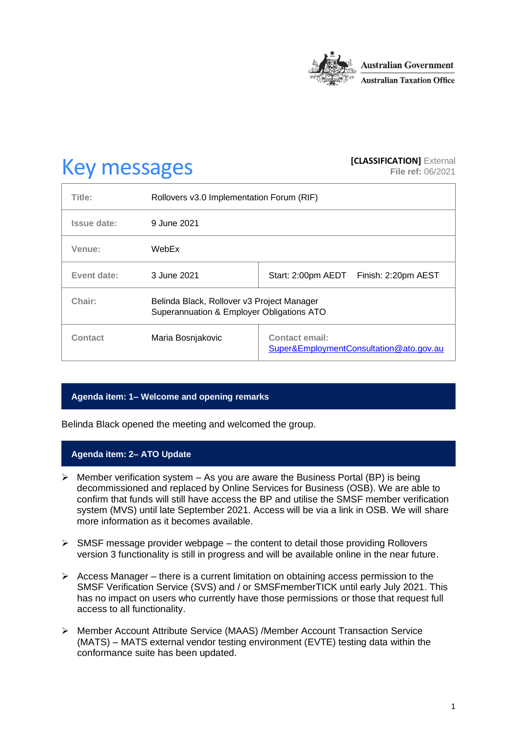

# **Key messages [CLASSIFICATION]** External **[CLASSIFICATION]** External

**File ref:** 06/2021

| Title:      | Rollovers v3.0 Implementation Forum (RIF)                                               |                                                                  |
|-------------|-----------------------------------------------------------------------------------------|------------------------------------------------------------------|
| Issue date: | 9 June 2021                                                                             |                                                                  |
| Venue:      | WebEx                                                                                   |                                                                  |
| Event date: | 3 June 2021                                                                             | Start: 2:00pm AEDT<br>Finish: 2:20pm AEST                        |
| Chair:      | Belinda Black, Rollover v3 Project Manager<br>Superannuation & Employer Obligations ATO |                                                                  |
| Contact     | Maria Bosnjakovic                                                                       | <b>Contact email:</b><br>Super&EmploymentConsultation@ato.gov.au |

# **Agenda item: 1– Welcome and opening remarks**

Belinda Black opened the meeting and welcomed the group.

# **Agenda item: 2– ATO Update**

- $\triangleright$  Member verification system As you are aware the Business Portal (BP) is being decommissioned and replaced by Online Services for Business (OSB). We are able to confirm that funds will still have access the BP and utilise the SMSF member verification system (MVS) until late September 2021. Access will be via a link in OSB. We will share more information as it becomes available.
- $\triangleright$  SMSF message provider webpage the content to detail those providing Rollovers version 3 functionality is still in progress and will be available online in the near future.
- $\triangleright$  Access Manager there is a current limitation on obtaining access permission to the SMSF Verification Service (SVS) and / or SMSFmemberTICK until early July 2021. This has no impact on users who currently have those permissions or those that request full access to all functionality.
- ➢ Member Account Attribute Service (MAAS) /Member Account Transaction Service (MATS) – MATS external vendor testing environment (EVTE) testing data within the conformance suite has been updated.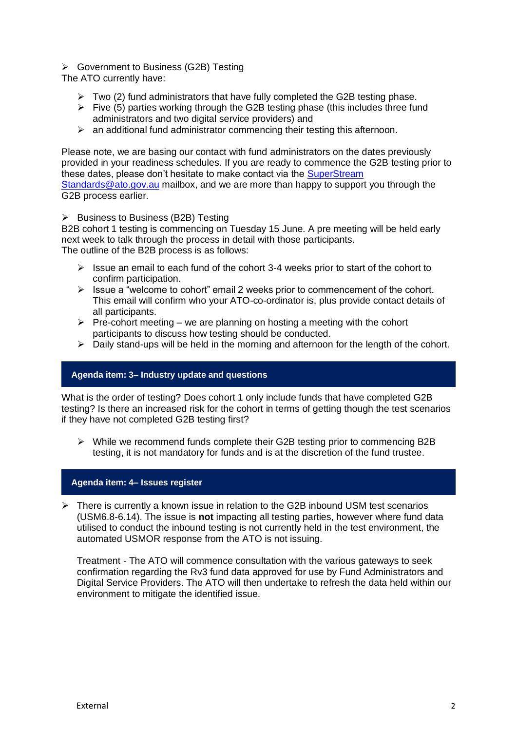## ➢ Government to Business (G2B) Testing

The ATO currently have:

- $\triangleright$  Two (2) fund administrators that have fully completed the G2B testing phase.
- ➢ Five (5) parties working through the G2B testing phase (this includes three fund administrators and two digital service providers) and
- $\triangleright$  an additional fund administrator commencing their testing this afternoon.

Please note, we are basing our contact with fund administrators on the dates previously provided in your readiness schedules. If you are ready to commence the G2B testing prior to these dates, please don't hesitate to make contact via the [SuperStream](mailto:R7838@ato.gov.au) 

[Standards@ato.gov.au](mailto:R7838@ato.gov.au) mailbox, and we are more than happy to support you through the G2B process earlier.

#### ➢ Business to Business (B2B) Testing

B2B cohort 1 testing is commencing on Tuesday 15 June. A pre meeting will be held early next week to talk through the process in detail with those participants. The outline of the B2B process is as follows:

- $\triangleright$  Issue an email to each fund of the cohort 3-4 weeks prior to start of the cohort to confirm participation.
- ➢ Issue a "welcome to cohort" email 2 weeks prior to commencement of the cohort. This email will confirm who your ATO-co-ordinator is, plus provide contact details of all participants.
- $\triangleright$  Pre-cohort meeting we are planning on hosting a meeting with the cohort participants to discuss how testing should be conducted.
- ➢ Daily stand-ups will be held in the morning and afternoon for the length of the cohort.

### **Agenda item: 3– Industry update and questions**

What is the order of testing? Does cohort 1 only include funds that have completed G2B testing? Is there an increased risk for the cohort in terms of getting though the test scenarios if they have not completed G2B testing first?

➢ While we recommend funds complete their G2B testing prior to commencing B2B testing, it is not mandatory for funds and is at the discretion of the fund trustee.

#### **Agenda item: 4– Issues register**

 $\triangleright$  There is currently a known issue in relation to the G2B inbound USM test scenarios (USM6.8-6.14). The issue is **not** impacting all testing parties, however where fund data utilised to conduct the inbound testing is not currently held in the test environment, the automated USMOR response from the ATO is not issuing.

Treatment - The ATO will commence consultation with the various gateways to seek confirmation regarding the Rv3 fund data approved for use by Fund Administrators and Digital Service Providers. The ATO will then undertake to refresh the data held within our environment to mitigate the identified issue.